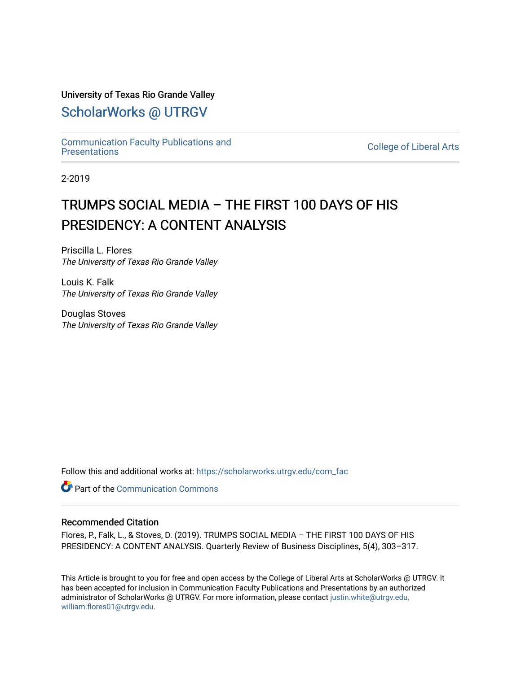#### University of Texas Rio Grande Valley

# [ScholarWorks @ UTRGV](https://scholarworks.utrgv.edu/)

[Communication Faculty Publications and](https://scholarworks.utrgv.edu/com_fac) 

**College of Liberal Arts** 

2-2019

# TRUMPS SOCIAL MEDIA – THE FIRST 100 DAYS OF HIS PRESIDENCY: A CONTENT ANALYSIS

Priscilla L. Flores The University of Texas Rio Grande Valley

Louis K. Falk The University of Texas Rio Grande Valley

Douglas Stoves The University of Texas Rio Grande Valley

Follow this and additional works at: [https://scholarworks.utrgv.edu/com\\_fac](https://scholarworks.utrgv.edu/com_fac?utm_source=scholarworks.utrgv.edu%2Fcom_fac%2F54&utm_medium=PDF&utm_campaign=PDFCoverPages)

**Part of the Communication Commons** 

#### Recommended Citation

Flores, P., Falk, L., & Stoves, D. (2019). TRUMPS SOCIAL MEDIA – THE FIRST 100 DAYS OF HIS PRESIDENCY: A CONTENT ANALYSIS. Quarterly Review of Business Disciplines, 5(4), 303–317.

This Article is brought to you for free and open access by the College of Liberal Arts at ScholarWorks @ UTRGV. It has been accepted for inclusion in Communication Faculty Publications and Presentations by an authorized administrator of ScholarWorks @ UTRGV. For more information, please contact [justin.white@utrgv.edu,](mailto:justin.white@utrgv.edu,%20william.flores01@utrgv.edu)  [william.flores01@utrgv.edu](mailto:justin.white@utrgv.edu,%20william.flores01@utrgv.edu).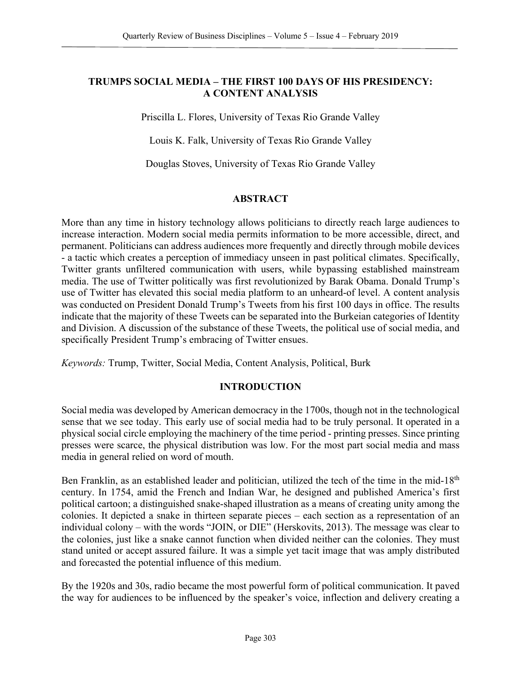# **TRUMPS SOCIAL MEDIA – THE FIRST 100 DAYS OF HIS PRESIDENCY: A CONTENT ANALYSIS**

Priscilla L. Flores, University of Texas Rio Grande Valley

Louis K. Falk, University of Texas Rio Grande Valley

Douglas Stoves, University of Texas Rio Grande Valley

#### **ABSTRACT**

More than any time in history technology allows politicians to directly reach large audiences to increase interaction. Modern social media permits information to be more accessible, direct, and permanent. Politicians can address audiences more frequently and directly through mobile devices - a tactic which creates a perception of immediacy unseen in past political climates. Specifically, Twitter grants unfiltered communication with users, while bypassing established mainstream media. The use of Twitter politically was first revolutionized by Barak Obama. Donald Trump's use of Twitter has elevated this social media platform to an unheard-of level. A content analysis was conducted on President Donald Trump's Tweets from his first 100 days in office. The results indicate that the majority of these Tweets can be separated into the Burkeian categories of Identity and Division. A discussion of the substance of these Tweets, the political use of social media, and specifically President Trump's embracing of Twitter ensues.

*Keywords:* Trump, Twitter, Social Media, Content Analysis, Political, Burk

#### **INTRODUCTION**

Social media was developed by American democracy in the 1700s, though not in the technological sense that we see today. This early use of social media had to be truly personal. It operated in a physical social circle employing the machinery of the time period - printing presses. Since printing presses were scarce, the physical distribution was low. For the most part social media and mass media in general relied on word of mouth.

Ben Franklin, as an established leader and politician, utilized the tech of the time in the mid-18<sup>th</sup> century. In 1754, amid the French and Indian War, he designed and published America's first political cartoon; a distinguished snake-shaped illustration as a means of creating unity among the colonies. It depicted a snake in thirteen separate pieces – each section as a representation of an individual colony – with the words "JOIN, or DIE" (Herskovits, 2013). The message was clear to the colonies, just like a snake cannot function when divided neither can the colonies. They must stand united or accept assured failure. It was a simple yet tacit image that was amply distributed and forecasted the potential influence of this medium.

By the 1920s and 30s, radio became the most powerful form of political communication. It paved the way for audiences to be influenced by the speaker's voice, inflection and delivery creating a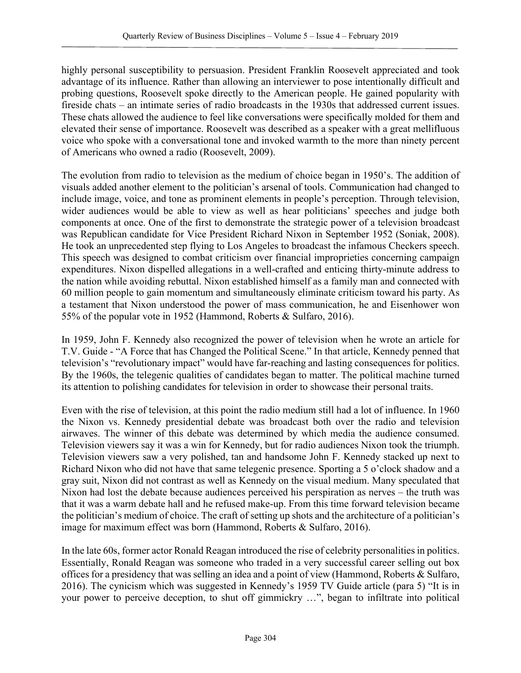highly personal susceptibility to persuasion. President Franklin Roosevelt appreciated and took advantage of its influence. Rather than allowing an interviewer to pose intentionally difficult and probing questions, Roosevelt spoke directly to the American people. He gained popularity with fireside chats – an intimate series of radio broadcasts in the 1930s that addressed current issues. These chats allowed the audience to feel like conversations were specifically molded for them and elevated their sense of importance. Roosevelt was described as a speaker with a great mellifluous voice who spoke with a conversational tone and invoked warmth to the more than ninety percent of Americans who owned a radio (Roosevelt, 2009).

The evolution from radio to television as the medium of choice began in 1950's. The addition of visuals added another element to the politician's arsenal of tools. Communication had changed to include image, voice, and tone as prominent elements in people's perception. Through television, wider audiences would be able to view as well as hear politicians' speeches and judge both components at once. One of the first to demonstrate the strategic power of a television broadcast was Republican candidate for Vice President Richard Nixon in September 1952 (Soniak, 2008). He took an unprecedented step flying to Los Angeles to broadcast the infamous Checkers speech. This speech was designed to combat criticism over financial improprieties concerning campaign expenditures. Nixon dispelled allegations in a well-crafted and enticing thirty-minute address to the nation while avoiding rebuttal. Nixon established himself as a family man and connected with 60 million people to gain momentum and simultaneously eliminate criticism toward his party. As a testament that Nixon understood the power of mass communication, he and Eisenhower won 55% of the popular vote in 1952 (Hammond, Roberts & Sulfaro, 2016).

In 1959, John F. Kennedy also recognized the power of television when he wrote an article for T.V. Guide - "A Force that has Changed the Political Scene." In that article, Kennedy penned that television's "revolutionary impact" would have far-reaching and lasting consequences for politics. By the 1960s, the telegenic qualities of candidates began to matter. The political machine turned its attention to polishing candidates for television in order to showcase their personal traits.

Even with the rise of television, at this point the radio medium still had a lot of influence. In 1960 the Nixon vs. Kennedy presidential debate was broadcast both over the radio and television airwaves. The winner of this debate was determined by which media the audience consumed. Television viewers say it was a win for Kennedy, but for radio audiences Nixon took the triumph. Television viewers saw a very polished, tan and handsome John F. Kennedy stacked up next to Richard Nixon who did not have that same telegenic presence. Sporting a 5 o'clock shadow and a gray suit, Nixon did not contrast as well as Kennedy on the visual medium. Many speculated that Nixon had lost the debate because audiences perceived his perspiration as nerves – the truth was that it was a warm debate hall and he refused make-up. From this time forward television became the politician's medium of choice. The craft of setting up shots and the architecture of a politician's image for maximum effect was born (Hammond, Roberts & Sulfaro, 2016).

In the late 60s, former actor Ronald Reagan introduced the rise of celebrity personalities in politics. Essentially, Ronald Reagan was someone who traded in a very successful career selling out box offices for a presidency that was selling an idea and a point of view (Hammond, Roberts & Sulfaro, 2016). The cynicism which was suggested in Kennedy's 1959 TV Guide article (para 5) "It is in your power to perceive deception, to shut off gimmickry …", began to infiltrate into political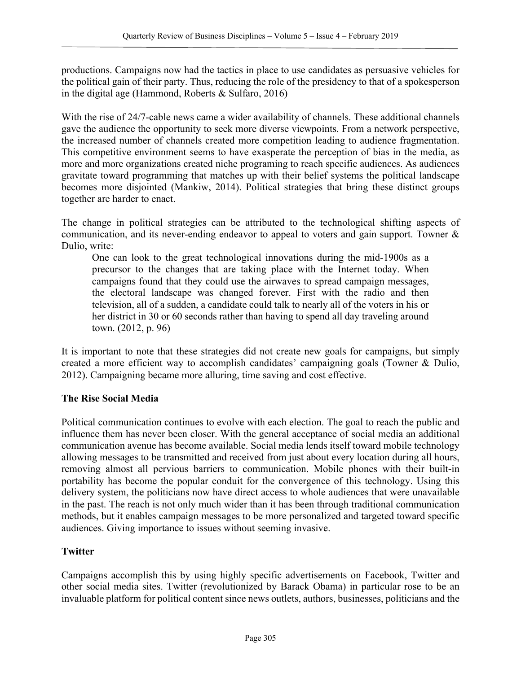productions. Campaigns now had the tactics in place to use candidates as persuasive vehicles for the political gain of their party. Thus, reducing the role of the presidency to that of a spokesperson in the digital age (Hammond, Roberts & Sulfaro, 2016)

With the rise of 24/7-cable news came a wider availability of channels. These additional channels gave the audience the opportunity to seek more diverse viewpoints. From a network perspective, the increased number of channels created more competition leading to audience fragmentation. This competitive environment seems to have exasperate the perception of bias in the media, as more and more organizations created niche programing to reach specific audiences. As audiences gravitate toward programming that matches up with their belief systems the political landscape becomes more disjointed (Mankiw, 2014). Political strategies that bring these distinct groups together are harder to enact.

The change in political strategies can be attributed to the technological shifting aspects of communication, and its never-ending endeavor to appeal to voters and gain support. Towner & Dulio, write:

One can look to the great technological innovations during the mid-1900s as a precursor to the changes that are taking place with the Internet today. When campaigns found that they could use the airwaves to spread campaign messages, the electoral landscape was changed forever. First with the radio and then television, all of a sudden, a candidate could talk to nearly all of the voters in his or her district in 30 or 60 seconds rather than having to spend all day traveling around town. (2012, p. 96)

It is important to note that these strategies did not create new goals for campaigns, but simply created a more efficient way to accomplish candidates' campaigning goals (Towner & Dulio, 2012). Campaigning became more alluring, time saving and cost effective.

#### **The Rise Social Media**

Political communication continues to evolve with each election. The goal to reach the public and influence them has never been closer. With the general acceptance of social media an additional communication avenue has become available. Social media lends itself toward mobile technology allowing messages to be transmitted and received from just about every location during all hours, removing almost all pervious barriers to communication. Mobile phones with their built-in portability has become the popular conduit for the convergence of this technology. Using this delivery system, the politicians now have direct access to whole audiences that were unavailable in the past. The reach is not only much wider than it has been through traditional communication methods, but it enables campaign messages to be more personalized and targeted toward specific audiences. Giving importance to issues without seeming invasive.

#### **Twitter**

Campaigns accomplish this by using highly specific advertisements on Facebook, Twitter and other social media sites. Twitter (revolutionized by Barack Obama) in particular rose to be an invaluable platform for political content since news outlets, authors, businesses, politicians and the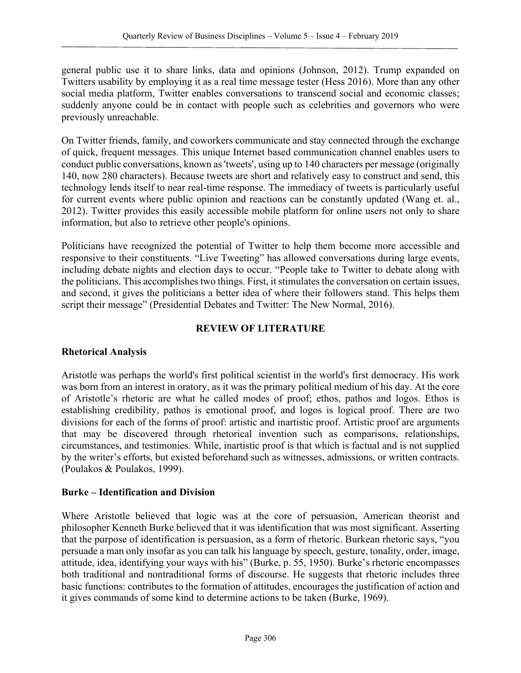general public use it to share links, data and opinions (Johnson, 2012). Trump expanded on Twitters usability by employing it as a real time message tester (Hess 2016). More than any other social media platform, Twitter enables conversations to transcend social and economic classes; suddenly anyone could be in contact with people such as celebrities and governors who were previously unreachable.

On Twitter friends, family, and coworkers communicate and stay connected through the exchange of quick, frequent messages. This unique Internet based communication channel enables users to conduct public conversations, known as 'tweets', using up to 140 characters per message (originally 140, now 280 characters). Because tweets are short and relatively easy to construct and send, this technology lends itself to near real-time response. The immediacy of tweets is particularly useful for current events where public opinion and reactions can be constantly updated (Wang et. al., 2012). Twitter provides this easily accessible mobile platform for online users not only to share information, but also to retrieve other people's opinions.

Politicians have recognized the potential of Twitter to help them become more accessible and responsive to their constituents. "Live Tweeting" has allowed conversations during large events, including debate nights and election days to occur. "People take to Twitter to debate along with the politicians. This accomplishes two things. First, it stimulates the conversation on certain issues, and second, it gives the politicians a better idea of where their followers stand. This helps them script their message" (Presidential Debates and Twitter: The New Normal, 2016).

# **REVIEW OF LITERATURE**

# **Rhetorical Analysis**

Aristotle was perhaps the world's first political scientist in the world's first democracy. His work was born from an interest in oratory, as it was the primary political medium of his day. At the core of Aristotle's rhetoric are what he called modes of proof; ethos, pathos and logos. Ethos is establishing credibility, pathos is emotional proof, and logos is logical proof. There are two divisions for each of the forms of proof: artistic and inartistic proof. Artistic proof are arguments that may be discovered through rhetorical invention such as comparisons, relationships, circumstances, and testimonies. While, inartistic proof is that which is factual and is not supplied by the writer's efforts, but existed beforehand such as witnesses, admissions, or written contracts. (Poulakos & Poulakos, 1999).

# **Burke – Identification and Division**

Where Aristotle believed that logic was at the core of persuasion, American theorist and philosopher Kenneth Burke believed that it was identification that was most significant. Asserting that the purpose of identification is persuasion, as a form of rhetoric. Burkean rhetoric says, "you persuade a man only insofar as you can talk his language by speech, gesture, tonality, order, image, attitude, idea, identifying your ways with his" (Burke, p. 55, 1950). Burke's rhetoric encompasses both traditional and nontraditional forms of discourse. He suggests that rhetoric includes three basic functions: contributes to the formation of attitudes, encourages the justification of action and it gives commands of some kind to determine actions to be taken (Burke, 1969).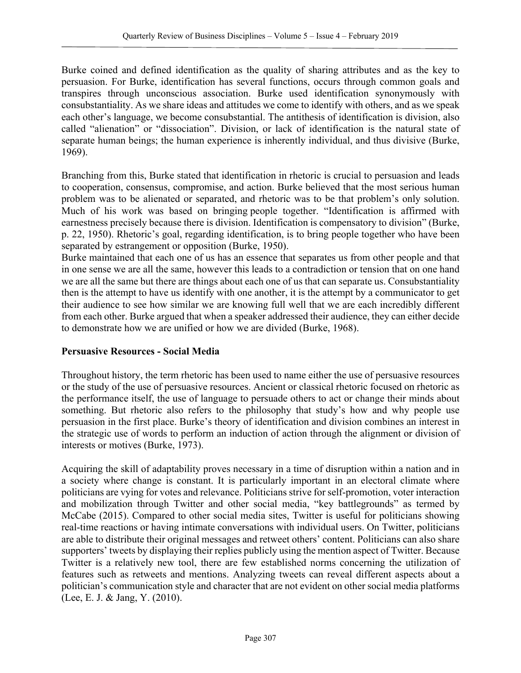Burke coined and defined identification as the quality of sharing attributes and as the key to persuasion. For Burke, identification has several functions, occurs through common goals and transpires through unconscious association. Burke used identification synonymously with consubstantiality. As we share ideas and attitudes we come to identify with others, and as we speak each other's language, we become consubstantial. The antithesis of identification is division, also called "alienation" or "dissociation". Division, or lack of identification is the natural state of separate human beings; the human experience is inherently individual, and thus divisive (Burke, 1969).

Branching from this, Burke stated that identification in rhetoric is crucial to persuasion and leads to cooperation, consensus, compromise, and action. Burke believed that the most serious human problem was to be alienated or separated, and rhetoric was to be that problem's only solution. Much of his work was based on bringing people together. "Identification is affirmed with earnestness precisely because there is division. Identification is compensatory to division" (Burke, p. 22, 1950). Rhetoric's goal, regarding identification, is to bring people together who have been separated by estrangement or opposition (Burke, 1950).

Burke maintained that each one of us has an essence that separates us from other people and that in one sense we are all the same, however this leads to a contradiction or tension that on one hand we are all the same but there are things about each one of us that can separate us. Consubstantiality then is the attempt to have us identify with one another, it is the attempt by a communicator to get their audience to see how similar we are knowing full well that we are each incredibly different from each other. Burke argued that when a speaker addressed their audience, they can either decide to demonstrate how we are unified or how we are divided (Burke, 1968).

# **Persuasive Resources - Social Media**

Throughout history, the term rhetoric has been used to name either the use of persuasive resources or the study of the use of persuasive resources. Ancient or classical rhetoric focused on rhetoric as the performance itself, the use of language to persuade others to act or change their minds about something. But rhetoric also refers to the philosophy that study's how and why people use persuasion in the first place. Burke's theory of identification and division combines an interest in the strategic use of words to perform an induction of action through the alignment or division of interests or motives (Burke, 1973).

Acquiring the skill of adaptability proves necessary in a time of disruption within a nation and in a society where change is constant. It is particularly important in an electoral climate where politicians are vying for votes and relevance. Politicians strive for self-promotion, voter interaction and mobilization through Twitter and other social media, "key battlegrounds" as termed by McCabe (2015). Compared to other social media sites, Twitter is useful for politicians showing real-time reactions or having intimate conversations with individual users. On Twitter, politicians are able to distribute their original messages and retweet others' content. Politicians can also share supporters' tweets by displaying their replies publicly using the mention aspect of Twitter. Because Twitter is a relatively new tool, there are few established norms concerning the utilization of features such as retweets and mentions. Analyzing tweets can reveal different aspects about a politician's communication style and character that are not evident on other social media platforms (Lee, E. J. & Jang, Y. (2010).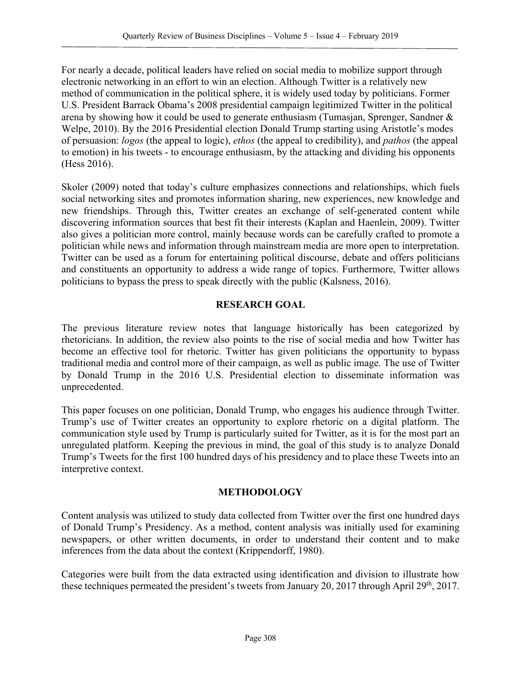For nearly a decade, political leaders have relied on social media to mobilize support through electronic networking in an effort to win an election. Although Twitter is a relatively new method of communication in the political sphere, it is widely used today by politicians. Former U.S. President Barrack Obama's 2008 presidential campaign legitimized Twitter in the political arena by showing how it could be used to generate enthusiasm (Tumasjan, Sprenger, Sandner & Welpe, 2010). By the 2016 Presidential election Donald Trump starting using Aristotle's modes of persuasion: *logos* (the appeal to logic), *ethos* (the appeal to credibility), and *pathos* (the appeal to emotion) in his tweets - to encourage enthusiasm, by the attacking and dividing his opponents (Hess 2016).

Skoler (2009) noted that today's culture emphasizes connections and relationships, which fuels social networking sites and promotes information sharing, new experiences, new knowledge and new friendships. Through this, Twitter creates an exchange of self-generated content while discovering information sources that best fit their interests (Kaplan and Haenlein, 2009). Twitter also gives a politician more control, mainly because words can be carefully crafted to promote a politician while news and information through mainstream media are more open to interpretation. Twitter can be used as a forum for entertaining political discourse, debate and offers politicians and constituents an opportunity to address a wide range of topics. Furthermore, Twitter allows politicians to bypass the press to speak directly with the public (Kalsness, 2016).

# **RESEARCH GOAL**

The previous literature review notes that language historically has been categorized by rhetoricians. In addition, the review also points to the rise of social media and how Twitter has become an effective tool for rhetoric. Twitter has given politicians the opportunity to bypass traditional media and control more of their campaign, as well as public image. The use of Twitter by Donald Trump in the 2016 U.S. Presidential election to disseminate information was unprecedented.

This paper focuses on one politician, Donald Trump, who engages his audience through Twitter. Trump's use of Twitter creates an opportunity to explore rhetoric on a digital platform. The communication style used by Trump is particularly suited for Twitter, as it is for the most part an unregulated platform. Keeping the previous in mind, the goal of this study is to analyze Donald Trump's Tweets for the first 100 hundred days of his presidency and to place these Tweets into an interpretive context.

# **METHODOLOGY**

Content analysis was utilized to study data collected from Twitter over the first one hundred days of Donald Trump's Presidency. As a method, content analysis was initially used for examining newspapers, or other written documents, in order to understand their content and to make inferences from the data about the context (Krippendorff, 1980).

Categories were built from the data extracted using identification and division to illustrate how these techniques permeated the president's tweets from January 20, 2017 through April 29th, 2017.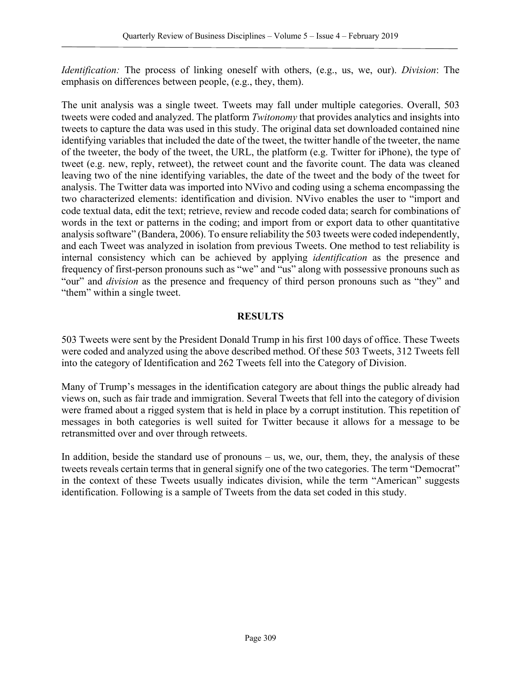*Identification:* The process of linking oneself with others, (e.g., us, we, our). *Division*: The emphasis on differences between people, (e.g., they, them).

The unit analysis was a single tweet. Tweets may fall under multiple categories. Overall, 503 tweets were coded and analyzed. The platform *Twitonomy* that provides analytics and insights into tweets to capture the data was used in this study. The original data set downloaded contained nine identifying variables that included the date of the tweet, the twitter handle of the tweeter, the name of the tweeter, the body of the tweet, the URL, the platform (e.g. Twitter for iPhone), the type of tweet (e.g. new, reply, retweet), the retweet count and the favorite count. The data was cleaned leaving two of the nine identifying variables, the date of the tweet and the body of the tweet for analysis. The Twitter data was imported into NVivo and coding using a schema encompassing the two characterized elements: identification and division. NVivo enables the user to "import and code textual data, edit the text; retrieve, review and recode coded data; search for combinations of words in the text or patterns in the coding; and import from or export data to other quantitative analysis software" (Bandera, 2006). To ensure reliability the 503 tweets were coded independently, and each Tweet was analyzed in isolation from previous Tweets. One method to test reliability is internal consistency which can be achieved by applying *identification* as the presence and frequency of first-person pronouns such as "we" and "us" along with possessive pronouns such as "our" and *division* as the presence and frequency of third person pronouns such as "they" and "them" within a single tweet.

#### **RESULTS**

503 Tweets were sent by the President Donald Trump in his first 100 days of office. These Tweets were coded and analyzed using the above described method. Of these 503 Tweets, 312 Tweets fell into the category of Identification and 262 Tweets fell into the Category of Division.

Many of Trump's messages in the identification category are about things the public already had views on, such as fair trade and immigration. Several Tweets that fell into the category of division were framed about a rigged system that is held in place by a corrupt institution. This repetition of messages in both categories is well suited for Twitter because it allows for a message to be retransmitted over and over through retweets.

In addition, beside the standard use of pronouns – us, we, our, them, they, the analysis of these tweets reveals certain terms that in general signify one of the two categories. The term "Democrat" in the context of these Tweets usually indicates division, while the term "American" suggests identification. Following is a sample of Tweets from the data set coded in this study.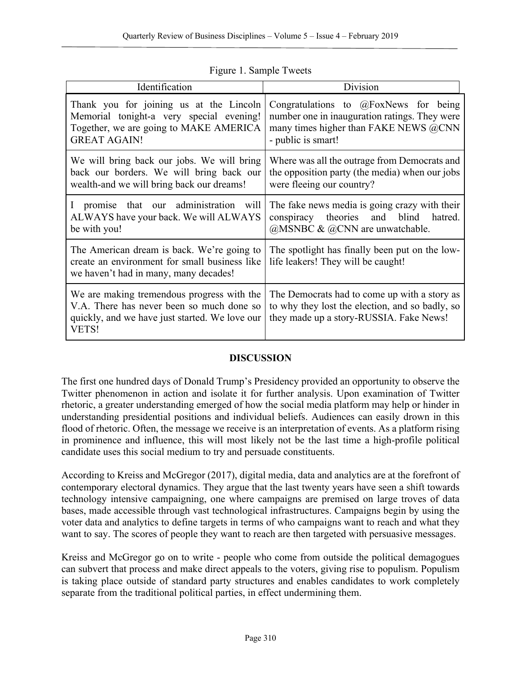| Identification                                                                                                                                       | Division                                                                                                                                                 |
|------------------------------------------------------------------------------------------------------------------------------------------------------|----------------------------------------------------------------------------------------------------------------------------------------------------------|
| Thank you for joining us at the Lincoln<br>Memorial tonight-a very special evening!<br>Together, we are going to MAKE AMERICA<br><b>GREAT AGAIN!</b> | Congratulations to $@$ FoxNews for being<br>number one in inauguration ratings. They were<br>many times higher than FAKE NEWS @CNN<br>- public is smart! |
| We will bring back our jobs. We will bring<br>back our borders. We will bring back our<br>wealth-and we will bring back our dreams!                  | Where was all the outrage from Democrats and<br>the opposition party (the media) when our jobs<br>were fleeing our country?                              |
| I promise that our administration will<br>ALWAYS have your back. We will ALWAYS<br>be with you!                                                      | The fake news media is going crazy with their<br>conspiracy theories and blind<br>hatred.<br>$@MSNEC \& @CNN are unwatchable.$                           |
| The American dream is back. We're going to<br>create an environment for small business like<br>we haven't had in many, many decades!                 | The spotlight has finally been put on the low-<br>life leakers! They will be caught!                                                                     |
| We are making tremendous progress with the<br>V.A. There has never been so much done so<br>quickly, and we have just started. We love our<br>VETS!   | The Democrats had to come up with a story as<br>to why they lost the election, and so badly, so<br>they made up a story-RUSSIA. Fake News!               |

Figure 1. Sample Tweets

# **DISCUSSION**

The first one hundred days of Donald Trump's Presidency provided an opportunity to observe the Twitter phenomenon in action and isolate it for further analysis. Upon examination of Twitter rhetoric, a greater understanding emerged of how the social media platform may help or hinder in understanding presidential positions and individual beliefs. Audiences can easily drown in this flood of rhetoric. Often, the message we receive is an interpretation of events. As a platform rising in prominence and influence, this will most likely not be the last time a high-profile political candidate uses this social medium to try and persuade constituents.

According to Kreiss and McGregor (2017), digital media, data and analytics are at the forefront of contemporary electoral dynamics. They argue that the last twenty years have seen a shift towards technology intensive campaigning, one where campaigns are premised on large troves of data bases, made accessible through vast technological infrastructures. Campaigns begin by using the voter data and analytics to define targets in terms of who campaigns want to reach and what they want to say. The scores of people they want to reach are then targeted with persuasive messages.

Kreiss and McGregor go on to write - people who come from outside the political demagogues can subvert that process and make direct appeals to the voters, giving rise to populism. Populism is taking place outside of standard party structures and enables candidates to work completely separate from the traditional political parties, in effect undermining them.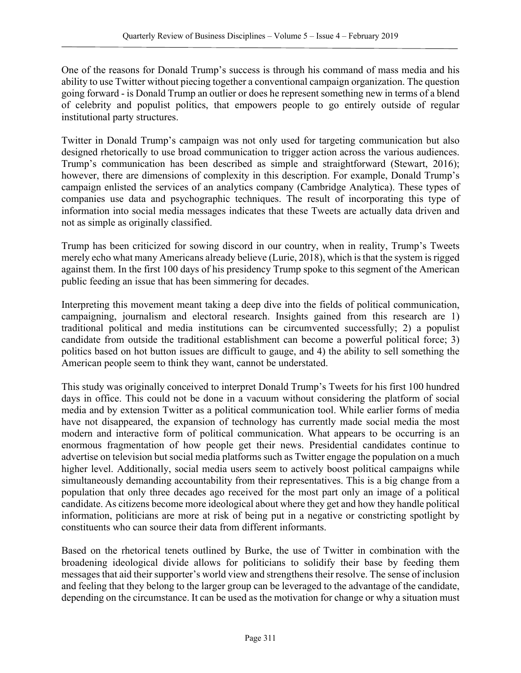One of the reasons for Donald Trump's success is through his command of mass media and his ability to use Twitter without piecing together a conventional campaign organization. The question going forward - is Donald Trump an outlier or does he represent something new in terms of a blend of celebrity and populist politics, that empowers people to go entirely outside of regular institutional party structures.

Twitter in Donald Trump's campaign was not only used for targeting communication but also designed rhetorically to use broad communication to trigger action across the various audiences. Trump's communication has been described as simple and straightforward (Stewart, 2016); however, there are dimensions of complexity in this description. For example, Donald Trump's campaign enlisted the services of an analytics company (Cambridge Analytica). These types of companies use data and psychographic techniques. The result of incorporating this type of information into social media messages indicates that these Tweets are actually data driven and not as simple as originally classified.

Trump has been criticized for sowing discord in our country, when in reality, Trump's Tweets merely echo what many Americans already believe (Lurie, 2018), which is that the system is rigged against them. In the first 100 days of his presidency Trump spoke to this segment of the American public feeding an issue that has been simmering for decades.

Interpreting this movement meant taking a deep dive into the fields of political communication, campaigning, journalism and electoral research. Insights gained from this research are 1) traditional political and media institutions can be circumvented successfully; 2) a populist candidate from outside the traditional establishment can become a powerful political force; 3) politics based on hot button issues are difficult to gauge, and 4) the ability to sell something the American people seem to think they want, cannot be understated.

This study was originally conceived to interpret Donald Trump's Tweets for his first 100 hundred days in office. This could not be done in a vacuum without considering the platform of social media and by extension Twitter as a political communication tool. While earlier forms of media have not disappeared, the expansion of technology has currently made social media the most modern and interactive form of political communication. What appears to be occurring is an enormous fragmentation of how people get their news. Presidential candidates continue to advertise on television but social media platforms such as Twitter engage the population on a much higher level. Additionally, social media users seem to actively boost political campaigns while simultaneously demanding accountability from their representatives. This is a big change from a population that only three decades ago received for the most part only an image of a political candidate. As citizens become more ideological about where they get and how they handle political information, politicians are more at risk of being put in a negative or constricting spotlight by constituents who can source their data from different informants.

Based on the rhetorical tenets outlined by Burke, the use of Twitter in combination with the broadening ideological divide allows for politicians to solidify their base by feeding them messages that aid their supporter's world view and strengthens their resolve. The sense of inclusion and feeling that they belong to the larger group can be leveraged to the advantage of the candidate, depending on the circumstance. It can be used as the motivation for change or why a situation must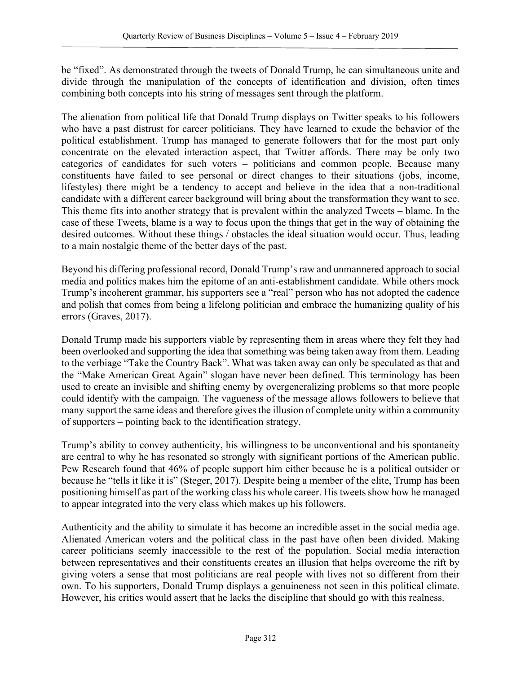be "fixed". As demonstrated through the tweets of Donald Trump, he can simultaneous unite and divide through the manipulation of the concepts of identification and division, often times combining both concepts into his string of messages sent through the platform.

The alienation from political life that Donald Trump displays on Twitter speaks to his followers who have a past distrust for career politicians. They have learned to exude the behavior of the political establishment. Trump has managed to generate followers that for the most part only concentrate on the elevated interaction aspect, that Twitter affords. There may be only two categories of candidates for such voters – politicians and common people. Because many constituents have failed to see personal or direct changes to their situations (jobs, income, lifestyles) there might be a tendency to accept and believe in the idea that a non-traditional candidate with a different career background will bring about the transformation they want to see. This theme fits into another strategy that is prevalent within the analyzed Tweets – blame. In the case of these Tweets, blame is a way to focus upon the things that get in the way of obtaining the desired outcomes. Without these things / obstacles the ideal situation would occur. Thus, leading to a main nostalgic theme of the better days of the past.

Beyond his differing professional record, Donald Trump's raw and unmannered approach to social media and politics makes him the epitome of an anti-establishment candidate. While others mock Trump's incoherent grammar, his supporters see a "real" person who has not adopted the cadence and polish that comes from being a lifelong politician and embrace the humanizing quality of his errors (Graves, 2017).

Donald Trump made his supporters viable by representing them in areas where they felt they had been overlooked and supporting the idea that something was being taken away from them. Leading to the verbiage "Take the Country Back". What was taken away can only be speculated as that and the "Make American Great Again" slogan have never been defined. This terminology has been used to create an invisible and shifting enemy by overgeneralizing problems so that more people could identify with the campaign. The vagueness of the message allows followers to believe that many support the same ideas and therefore gives the illusion of complete unity within a community of supporters – pointing back to the identification strategy.

Trump's ability to convey authenticity, his willingness to be unconventional and his spontaneity are central to why he has resonated so strongly with significant portions of the American public. Pew Research found that 46% of people support him either because he is a political outsider or because he "tells it like it is" (Steger, 2017). Despite being a member of the elite, Trump has been positioning himself as part of the working class his whole career. His tweets show how he managed to appear integrated into the very class which makes up his followers.

Authenticity and the ability to simulate it has become an incredible asset in the social media age. Alienated American voters and the political class in the past have often been divided. Making career politicians seemly inaccessible to the rest of the population. Social media interaction between representatives and their constituents creates an illusion that helps overcome the rift by giving voters a sense that most politicians are real people with lives not so different from their own. To his supporters, Donald Trump displays a genuineness not seen in this political climate. However, his critics would assert that he lacks the discipline that should go with this realness.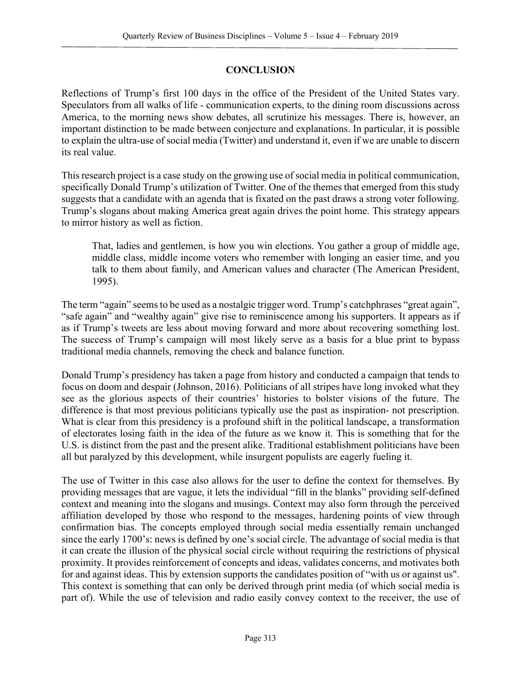# **CONCLUSION**

Reflections of Trump's first 100 days in the office of the President of the United States vary. Speculators from all walks of life - communication experts, to the dining room discussions across America, to the morning news show debates, all scrutinize his messages. There is, however, an important distinction to be made between conjecture and explanations. In particular, it is possible to explain the ultra-use of social media (Twitter) and understand it, even if we are unable to discern its real value.

This research project is a case study on the growing use of social media in political communication, specifically Donald Trump's utilization of Twitter. One of the themes that emerged from this study suggests that a candidate with an agenda that is fixated on the past draws a strong voter following. Trump's slogans about making America great again drives the point home. This strategy appears to mirror history as well as fiction.

That, ladies and gentlemen, is how you win elections. You gather a group of middle age, middle class, middle income voters who remember with longing an easier time, and you talk to them about family, and American values and character (The American President, 1995).

The term "again" seems to be used as a nostalgic trigger word. Trump's catchphrases "great again", "safe again" and "wealthy again" give rise to reminiscence among his supporters. It appears as if as if Trump's tweets are less about moving forward and more about recovering something lost. The success of Trump's campaign will most likely serve as a basis for a blue print to bypass traditional media channels, removing the check and balance function.

Donald Trump's presidency has taken a page from history and conducted a campaign that tends to focus on doom and despair (Johnson, 2016). Politicians of all stripes have long invoked what they see as the glorious aspects of their countries' histories to bolster visions of the future. The difference is that most previous politicians typically use the past as inspiration- not prescription. What is clear from this presidency is a profound shift in the political landscape, a transformation of electorates losing faith in the idea of the future as we know it. This is something that for the U.S. is distinct from the past and the present alike. Traditional establishment politicians have been all but paralyzed by this development, while insurgent populists are eagerly fueling it.

The use of Twitter in this case also allows for the user to define the context for themselves. By providing messages that are vague, it lets the individual "fill in the blanks" providing self-defined context and meaning into the slogans and musings. Context may also form through the perceived affiliation developed by those who respond to the messages, hardening points of view through confirmation bias. The concepts employed through social media essentially remain unchanged since the early 1700's: news is defined by one's social circle. The advantage of social media is that it can create the illusion of the physical social circle without requiring the restrictions of physical proximity. It provides reinforcement of concepts and ideas, validates concerns, and motivates both for and against ideas. This by extension supports the candidates position of "with us or against us". This context is something that can only be derived through print media (of which social media is part of). While the use of television and radio easily convey context to the receiver, the use of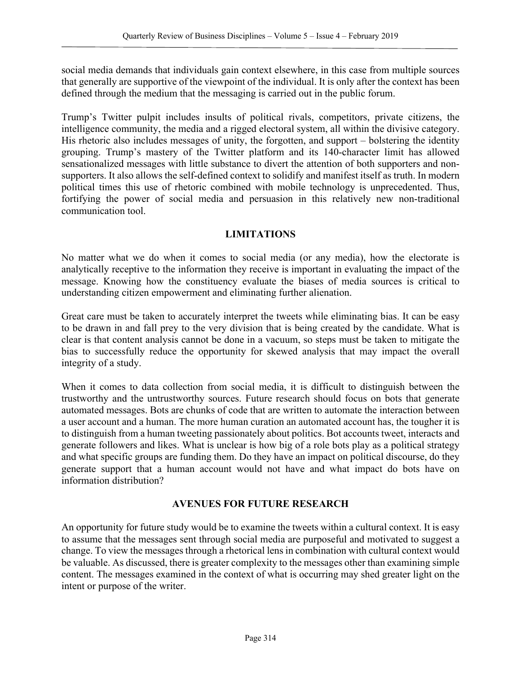social media demands that individuals gain context elsewhere, in this case from multiple sources that generally are supportive of the viewpoint of the individual. It is only after the context has been defined through the medium that the messaging is carried out in the public forum.

Trump's Twitter pulpit includes insults of political rivals, competitors, private citizens, the intelligence community, the media and a rigged electoral system, all within the divisive category. His rhetoric also includes messages of unity, the forgotten, and support – bolstering the identity grouping. Trump's mastery of the Twitter platform and its 140-character limit has allowed sensationalized messages with little substance to divert the attention of both supporters and nonsupporters. It also allows the self-defined context to solidify and manifest itself as truth. In modern political times this use of rhetoric combined with mobile technology is unprecedented. Thus, fortifying the power of social media and persuasion in this relatively new non-traditional communication tool.

# **LIMITATIONS**

No matter what we do when it comes to social media (or any media), how the electorate is analytically receptive to the information they receive is important in evaluating the impact of the message. Knowing how the constituency evaluate the biases of media sources is critical to understanding citizen empowerment and eliminating further alienation.

Great care must be taken to accurately interpret the tweets while eliminating bias. It can be easy to be drawn in and fall prey to the very division that is being created by the candidate. What is clear is that content analysis cannot be done in a vacuum, so steps must be taken to mitigate the bias to successfully reduce the opportunity for skewed analysis that may impact the overall integrity of a study.

When it comes to data collection from social media, it is difficult to distinguish between the trustworthy and the untrustworthy sources. Future research should focus on bots that generate automated messages. Bots are chunks of code that are written to automate the interaction between a user account and a human. The more human curation an automated account has, the tougher it is to distinguish from a human tweeting passionately about politics. Bot accounts tweet, interacts and generate followers and likes. What is unclear is how big of a role bots play as a political strategy and what specific groups are funding them. Do they have an impact on political discourse, do they generate support that a human account would not have and what impact do bots have on information distribution?

#### **AVENUES FOR FUTURE RESEARCH**

An opportunity for future study would be to examine the tweets within a cultural context. It is easy to assume that the messages sent through social media are purposeful and motivated to suggest a change. To view the messages through a rhetorical lens in combination with cultural context would be valuable. As discussed, there is greater complexity to the messages other than examining simple content. The messages examined in the context of what is occurring may shed greater light on the intent or purpose of the writer.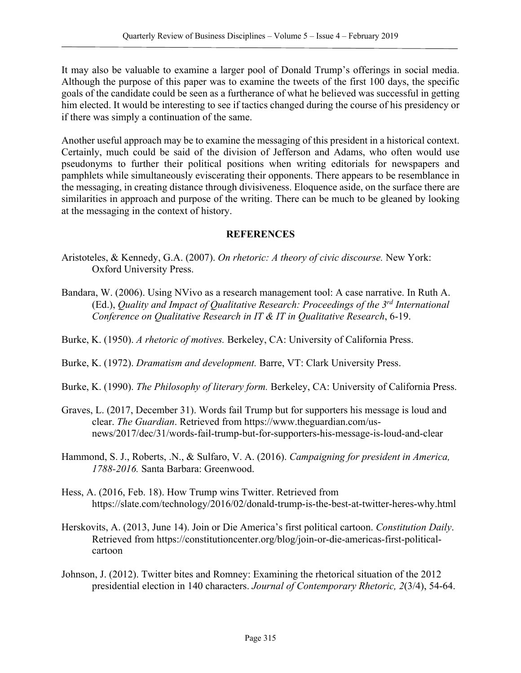It may also be valuable to examine a larger pool of Donald Trump's offerings in social media. Although the purpose of this paper was to examine the tweets of the first 100 days, the specific goals of the candidate could be seen as a furtherance of what he believed was successful in getting him elected. It would be interesting to see if tactics changed during the course of his presidency or if there was simply a continuation of the same.

Another useful approach may be to examine the messaging of this president in a historical context. Certainly, much could be said of the division of Jefferson and Adams, who often would use pseudonyms to further their political positions when writing editorials for newspapers and pamphlets while simultaneously eviscerating their opponents. There appears to be resemblance in the messaging, in creating distance through divisiveness. Eloquence aside, on the surface there are similarities in approach and purpose of the writing. There can be much to be gleaned by looking at the messaging in the context of history.

#### **REFERENCES**

- Aristoteles, & Kennedy, G.A. (2007). *On rhetoric: A theory of civic discourse.* New York: Oxford University Press.
- Bandara, W. (2006). Using NVivo as a research management tool: A case narrative. In Ruth A. (Ed.), *Quality and Impact of Qualitative Research: Proceedings of the 3rd International Conference on Qualitative Research in IT & IT in Qualitative Research*, 6-19.
- Burke, K. (1950). *A rhetoric of motives.* Berkeley, CA: University of California Press.
- Burke, K. (1972). *Dramatism and development.* Barre, VT: Clark University Press.
- Burke, K. (1990). *The Philosophy of literary form.* Berkeley, CA: University of California Press.
- Graves, L. (2017, December 31). Words fail Trump but for supporters his message is loud and clear. *The Guardian*. Retrieved from https://www.theguardian.com/usnews/2017/dec/31/words-fail-trump-but-for-supporters-his-message-is-loud-and-clear
- Hammond, S. J., Roberts, .N., & Sulfaro, V. A. (2016). *Campaigning for president in America, 1788-2016.* Santa Barbara: Greenwood.
- Hess, A. (2016, Feb. 18). How Trump wins Twitter. Retrieved from https://slate.com/technology/2016/02/donald-trump-is-the-best-at-twitter-heres-why.html
- Herskovits, A. (2013, June 14). Join or Die America's first political cartoon. *Constitution Daily*. Retrieved from https://constitutioncenter.org/blog/join-or-die-americas-first-politicalcartoon
- Johnson, J. (2012). Twitter bites and Romney: Examining the rhetorical situation of the 2012 presidential election in 140 characters. *Journal of Contemporary Rhetoric, 2*(3/4), 54-64.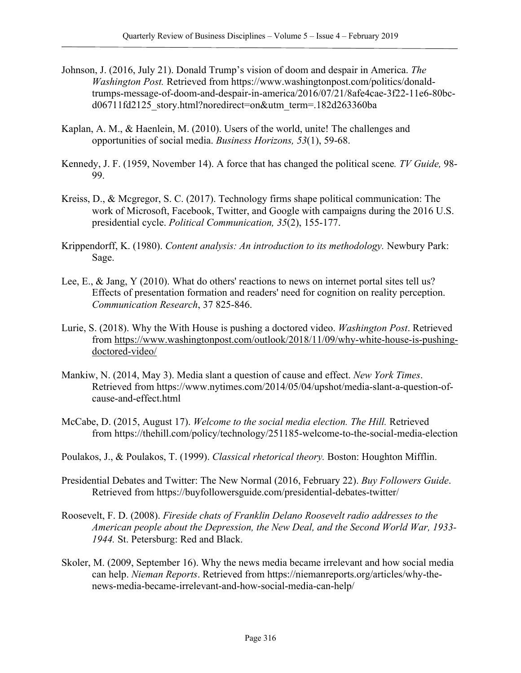- Johnson, J. (2016, July 21). Donald Trump's vision of doom and despair in America. *The Washington Post.* Retrieved from https://www.washingtonpost.com/politics/donaldtrumps-message-of-doom-and-despair-in-america/2016/07/21/8afe4cae-3f22-11e6-80bcd06711fd2125\_story.html?noredirect=on&utm\_term=.182d263360ba
- Kaplan, A. M., & Haenlein, M. (2010). Users of the world, unite! The challenges and opportunities of social media. *Business Horizons, 53*(1), 59-68.
- Kennedy, J. F. (1959, November 14). A force that has changed the political scene*. TV Guide,* 98- 99.
- Kreiss, D., & Mcgregor, S. C. (2017). Technology firms shape political communication: The work of Microsoft, Facebook, Twitter, and Google with campaigns during the 2016 U.S. presidential cycle. *Political Communication, 35*(2), 155-177.
- Krippendorff, K. (1980). *Content analysis: An introduction to its methodology.* Newbury Park: Sage.
- Lee, E., & Jang, Y (2010). What do others' reactions to news on internet portal sites tell us? Effects of presentation formation and readers' need for cognition on reality perception. *Communication Research*, 37 825-846.
- Lurie, S. (2018). Why the With House is pushing a doctored video. *Washington Post*. Retrieved from https://www.washingtonpost.com/outlook/2018/11/09/why-white-house-is-pushingdoctored-video/
- Mankiw, N. (2014, May 3). Media slant a question of cause and effect. *New York Times*. Retrieved from https://www.nytimes.com/2014/05/04/upshot/media-slant-a-question-ofcause-and-effect.html
- McCabe, D. (2015, August 17). *Welcome to the social media election. The Hill.* Retrieved from https://thehill.com/policy/technology/251185-welcome-to-the-social-media-election
- Poulakos, J., & Poulakos, T. (1999). *Classical rhetorical theory.* Boston: Houghton Mifflin.
- Presidential Debates and Twitter: The New Normal (2016, February 22). *Buy Followers Guide*. Retrieved from https://buyfollowersguide.com/presidential-debates-twitter/
- Roosevelt, F. D. (2008). *Fireside chats of Franklin Delano Roosevelt radio addresses to the American people about the Depression, the New Deal, and the Second World War, 1933- 1944.* St. Petersburg: Red and Black.
- Skoler, M. (2009, September 16). Why the news media became irrelevant and how social media can help. *Nieman Reports*. Retrieved from https://niemanreports.org/articles/why-thenews-media-became-irrelevant-and-how-social-media-can-help/